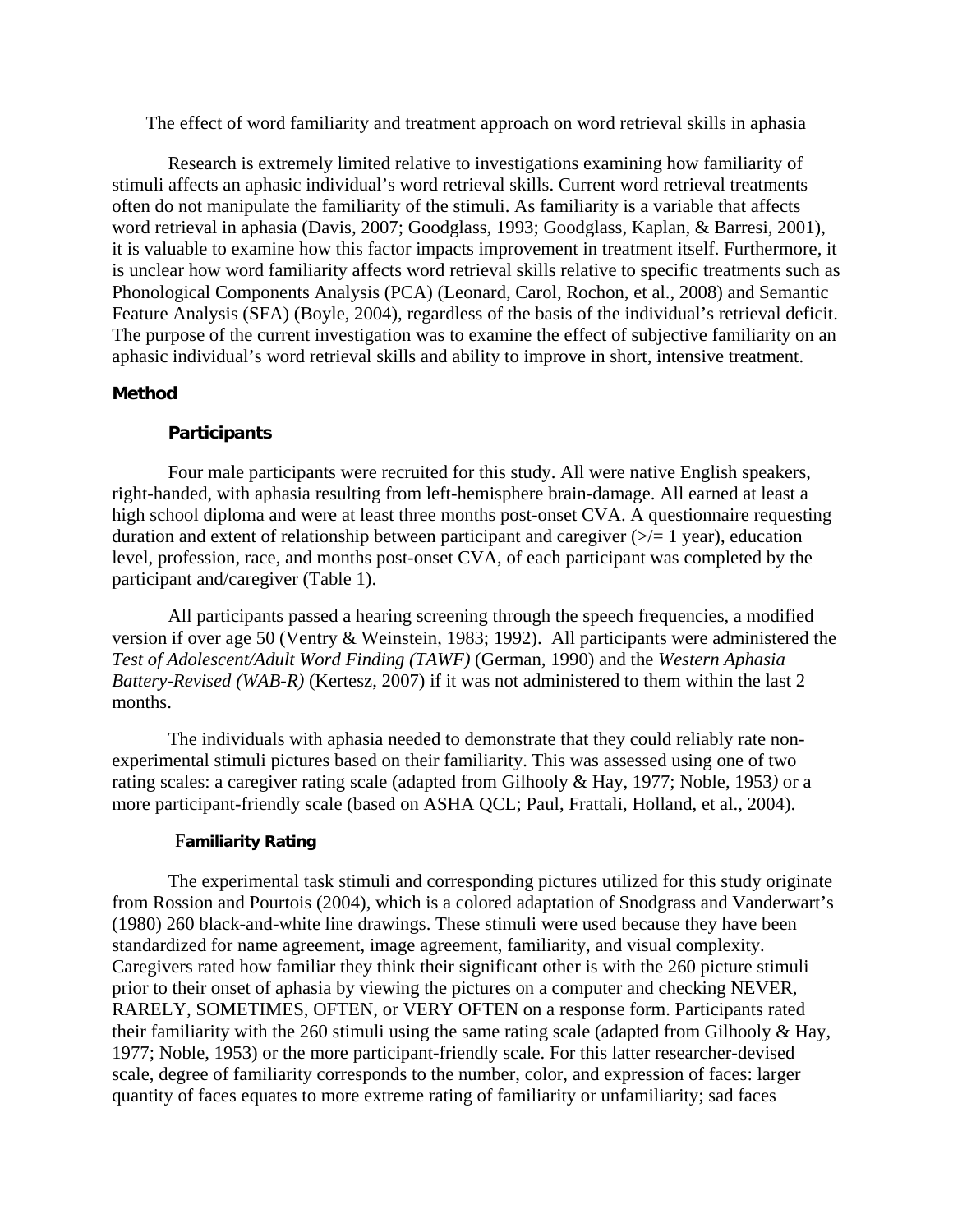The effect of word familiarity and treatment approach on word retrieval skills in aphasia

Research is extremely limited relative to investigations examining how familiarity of stimuli affects an aphasic individual's word retrieval skills. Current word retrieval treatments often do not manipulate the familiarity of the stimuli. As familiarity is a variable that affects word retrieval in aphasia (Davis, 2007; Goodglass, 1993; Goodglass, Kaplan, & Barresi, 2001), it is valuable to examine how this factor impacts improvement in treatment itself. Furthermore, it is unclear how word familiarity affects word retrieval skills relative to specific treatments such as Phonological Components Analysis (PCA) (Leonard, Carol, Rochon, et al., 2008) and Semantic Feature Analysis (SFA) (Boyle, 2004), regardless of the basis of the individual's retrieval deficit. The purpose of the current investigation was to examine the effect of subjective familiarity on an aphasic individual's word retrieval skills and ability to improve in short, intensive treatment.

#### **Method**

#### **Participants**

Four male participants were recruited for this study. All were native English speakers, right-handed, with aphasia resulting from left-hemisphere brain-damage. All earned at least a high school diploma and were at least three months post-onset CVA. A questionnaire requesting duration and extent of relationship between participant and caregiver  $(\geq)$  = 1 year), education level, profession, race, and months post-onset CVA, of each participant was completed by the participant and/caregiver (Table 1).

All participants passed a hearing screening through the speech frequencies, a modified version if over age 50 (Ventry & Weinstein, 1983; 1992). All participants were administered the *Test of Adolescent/Adult Word Finding (TAWF)* (German, 1990) and the *Western Aphasia Battery-Revised (WAB-R)* (Kertesz, 2007) if it was not administered to them within the last 2 months.

The individuals with aphasia needed to demonstrate that they could reliably rate nonexperimental stimuli pictures based on their familiarity. This was assessed using one of two rating scales: a caregiver rating scale (adapted from Gilhooly & Hay, 1977; Noble, 1953*)* or a more participant-friendly scale (based on ASHA QCL; Paul, Frattali, Holland, et al., 2004).

### F**amiliarity Rating**

The experimental task stimuli and corresponding pictures utilized for this study originate from Rossion and Pourtois (2004), which is a colored adaptation of Snodgrass and Vanderwart's (1980) 260 black-and-white line drawings. These stimuli were used because they have been standardized for name agreement, image agreement, familiarity, and visual complexity. Caregivers rated how familiar they think their significant other is with the 260 picture stimuli prior to their onset of aphasia by viewing the pictures on a computer and checking NEVER, RARELY, SOMETIMES, OFTEN, or VERY OFTEN on a response form. Participants rated their familiarity with the 260 stimuli using the same rating scale (adapted from Gilhooly & Hay, 1977; Noble, 1953) or the more participant-friendly scale. For this latter researcher-devised scale, degree of familiarity corresponds to the number, color, and expression of faces: larger quantity of faces equates to more extreme rating of familiarity or unfamiliarity; sad faces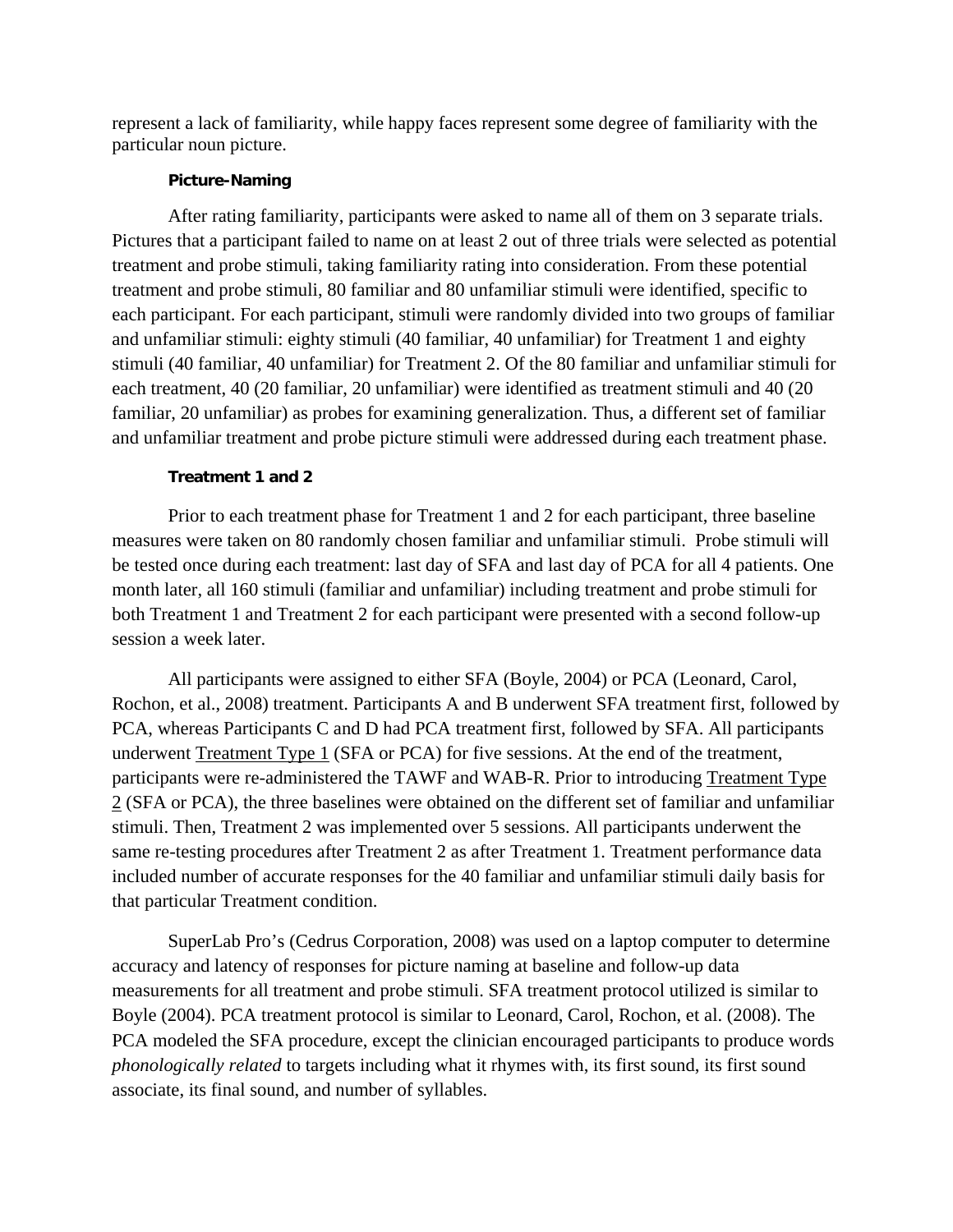represent a lack of familiarity, while happy faces represent some degree of familiarity with the particular noun picture.

#### **Picture-Naming**

After rating familiarity, participants were asked to name all of them on 3 separate trials. Pictures that a participant failed to name on at least 2 out of three trials were selected as potential treatment and probe stimuli, taking familiarity rating into consideration. From these potential treatment and probe stimuli, 80 familiar and 80 unfamiliar stimuli were identified, specific to each participant. For each participant, stimuli were randomly divided into two groups of familiar and unfamiliar stimuli: eighty stimuli (40 familiar, 40 unfamiliar) for Treatment 1 and eighty stimuli (40 familiar, 40 unfamiliar) for Treatment 2. Of the 80 familiar and unfamiliar stimuli for each treatment, 40 (20 familiar, 20 unfamiliar) were identified as treatment stimuli and 40 (20 familiar, 20 unfamiliar) as probes for examining generalization. Thus, a different set of familiar and unfamiliar treatment and probe picture stimuli were addressed during each treatment phase.

### **Treatment 1 and 2**

Prior to each treatment phase for Treatment 1 and 2 for each participant, three baseline measures were taken on 80 randomly chosen familiar and unfamiliar stimuli. Probe stimuli will be tested once during each treatment: last day of SFA and last day of PCA for all 4 patients. One month later, all 160 stimuli (familiar and unfamiliar) including treatment and probe stimuli for both Treatment 1 and Treatment 2 for each participant were presented with a second follow-up session a week later.

All participants were assigned to either SFA (Boyle, 2004) or PCA (Leonard, Carol, Rochon, et al., 2008) treatment. Participants A and B underwent SFA treatment first, followed by PCA, whereas Participants C and D had PCA treatment first, followed by SFA. All participants underwent Treatment Type 1 (SFA or PCA) for five sessions. At the end of the treatment, participants were re-administered the TAWF and WAB-R. Prior to introducing Treatment Type 2 (SFA or PCA), the three baselines were obtained on the different set of familiar and unfamiliar stimuli. Then, Treatment 2 was implemented over 5 sessions. All participants underwent the same re-testing procedures after Treatment 2 as after Treatment 1. Treatment performance data included number of accurate responses for the 40 familiar and unfamiliar stimuli daily basis for that particular Treatment condition.

SuperLab Pro's (Cedrus Corporation, 2008) was used on a laptop computer to determine accuracy and latency of responses for picture naming at baseline and follow-up data measurements for all treatment and probe stimuli. SFA treatment protocol utilized is similar to Boyle (2004). PCA treatment protocol is similar to Leonard, Carol, Rochon, et al. (2008). The PCA modeled the SFA procedure, except the clinician encouraged participants to produce words *phonologically related* to targets including what it rhymes with, its first sound, its first sound associate, its final sound, and number of syllables.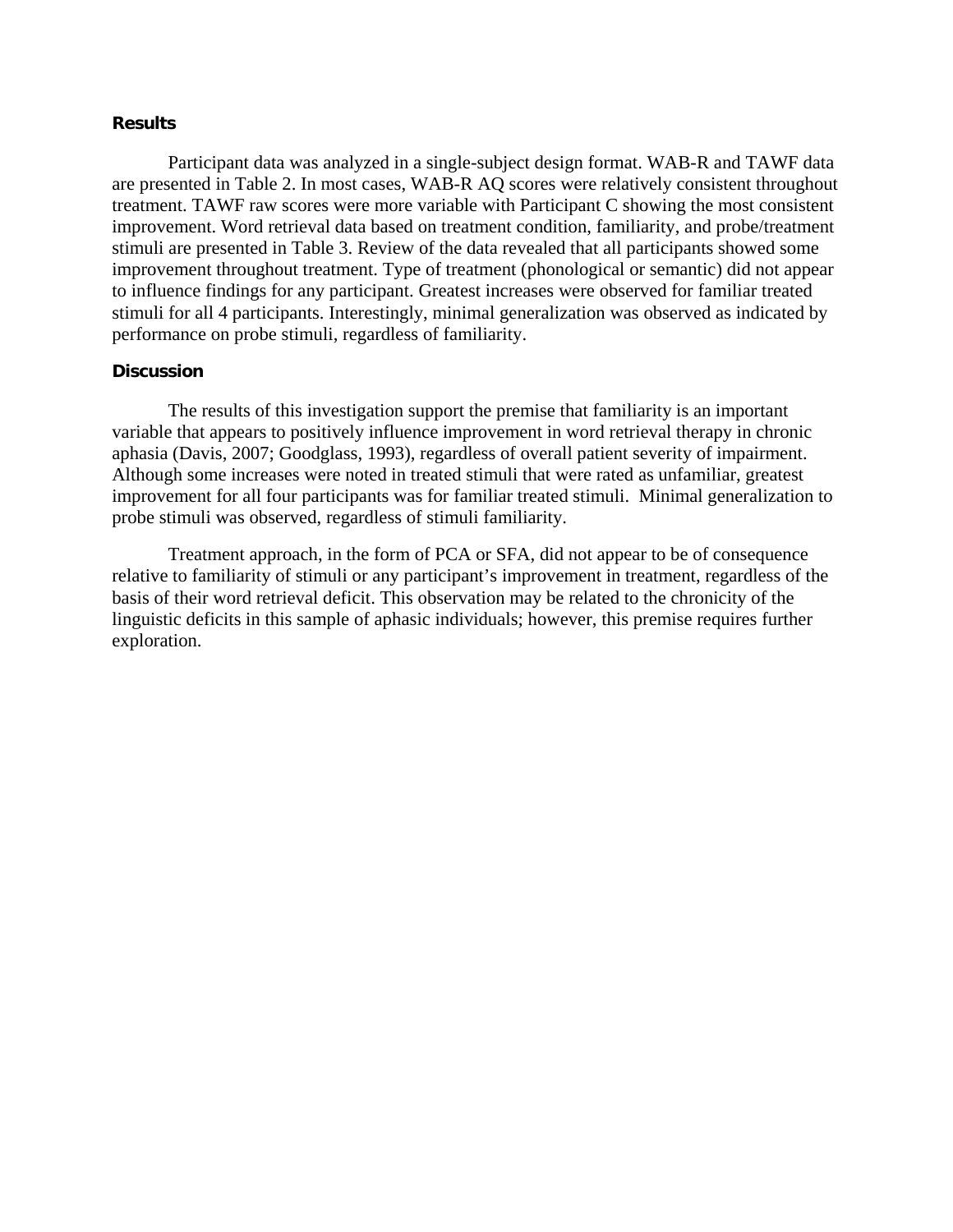#### **Results**

Participant data was analyzed in a single-subject design format. WAB-R and TAWF data are presented in Table 2. In most cases, WAB-R AQ scores were relatively consistent throughout treatment. TAWF raw scores were more variable with Participant C showing the most consistent improvement. Word retrieval data based on treatment condition, familiarity, and probe/treatment stimuli are presented in Table 3. Review of the data revealed that all participants showed some improvement throughout treatment. Type of treatment (phonological or semantic) did not appear to influence findings for any participant. Greatest increases were observed for familiar treated stimuli for all 4 participants. Interestingly, minimal generalization was observed as indicated by performance on probe stimuli, regardless of familiarity.

#### **Discussion**

The results of this investigation support the premise that familiarity is an important variable that appears to positively influence improvement in word retrieval therapy in chronic aphasia (Davis, 2007; Goodglass, 1993), regardless of overall patient severity of impairment. Although some increases were noted in treated stimuli that were rated as unfamiliar, greatest improvement for all four participants was for familiar treated stimuli. Minimal generalization to probe stimuli was observed, regardless of stimuli familiarity.

Treatment approach, in the form of PCA or SFA, did not appear to be of consequence relative to familiarity of stimuli or any participant's improvement in treatment, regardless of the basis of their word retrieval deficit. This observation may be related to the chronicity of the linguistic deficits in this sample of aphasic individuals; however, this premise requires further exploration.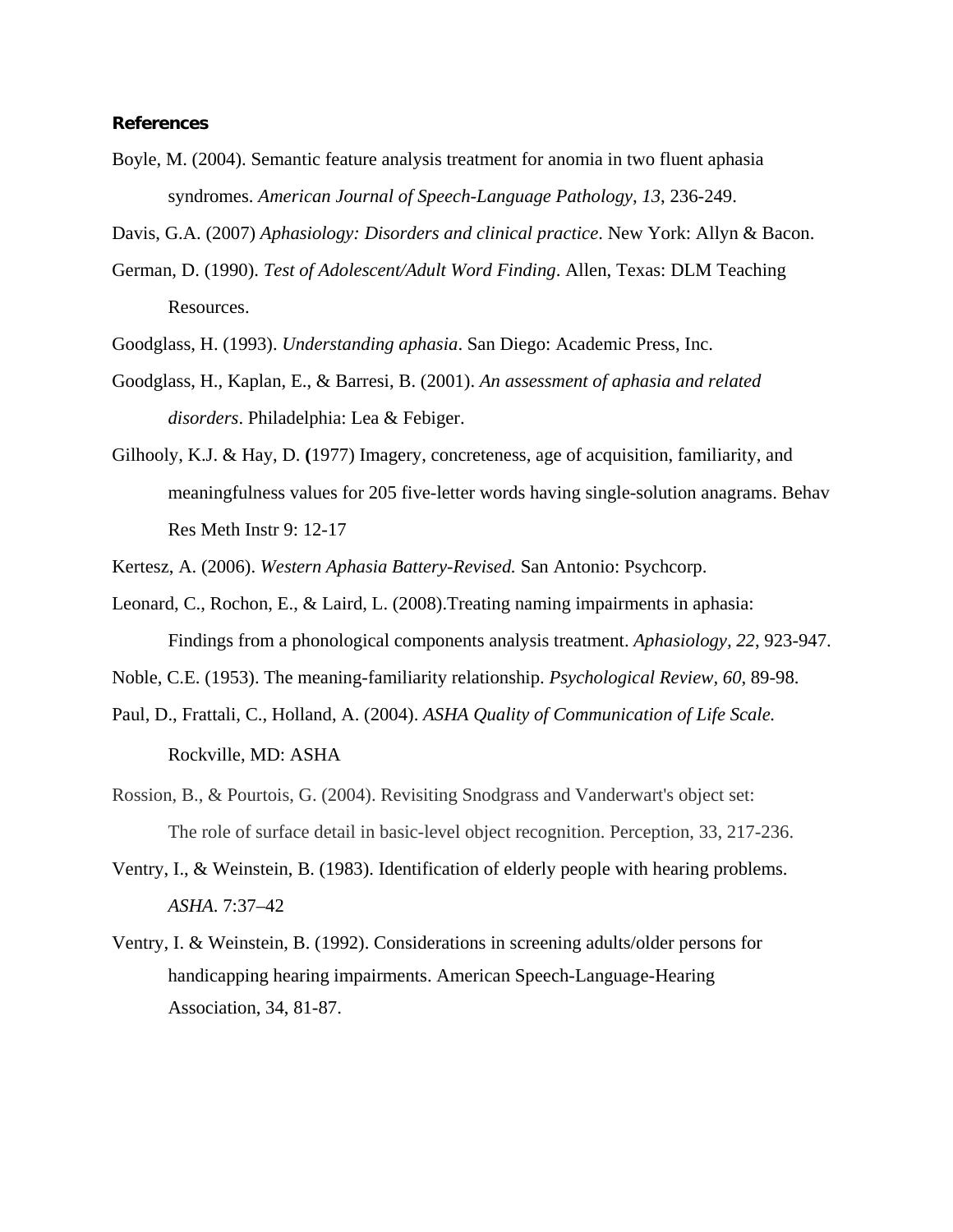#### **References**

Boyle, M. (2004). Semantic feature analysis treatment for anomia in two fluent aphasia syndromes. *American Journal of Speech-Language Pathology, 13*, 236-249.

Davis, G.A. (2007) *Aphasiology: Disorders and clinical practice*. New York: Allyn & Bacon.

- German, D. (1990). *Test of Adolescent/Adult Word Finding*. Allen, Texas: DLM Teaching Resources.
- Goodglass, H. (1993). *Understanding aphasia*. San Diego: Academic Press, Inc.
- Goodglass, H., Kaplan, E., & Barresi, B. (2001). *An assessment of aphasia and related disorders*. Philadelphia: Lea & Febiger.
- Gilhooly, K.J. & Hay, D. **(**1977) Imagery, concreteness, age of acquisition, familiarity, and meaningfulness values for 205 five-letter words having single-solution anagrams. Behav Res Meth Instr 9: 12-17

Kertesz, A. (2006). *Western Aphasia Battery-Revised.* San Antonio: Psychcorp.

Leonard, C., Rochon, E., & Laird, L. (2008).Treating naming impairments in aphasia: Findings from a phonological components analysis treatment. *Aphasiology, 22*, 923-947.

Noble, C.E. (1953). The meaning-familiarity relationship. *Psychological Review, 60*, 89-98.

- Paul, D., Frattali, C., Holland, A. (2004). *ASHA Quality of Communication of Life Scale.* Rockville, MD: ASHA
- Rossion, B., & Pourtois, G. (2004). Revisiting Snodgrass and Vanderwart's object set: The role of surface detail in basic-level object recognition. Perception, 33, 217-236.
- Ventry, I., & Weinstein, B. (1983). Identification of elderly people with hearing problems. *ASHA*. 7:37–42
- Ventry, I. & Weinstein, B. (1992). Considerations in screening adults/older persons for handicapping hearing impairments. American Speech-Language-Hearing Association, 34, 81-87.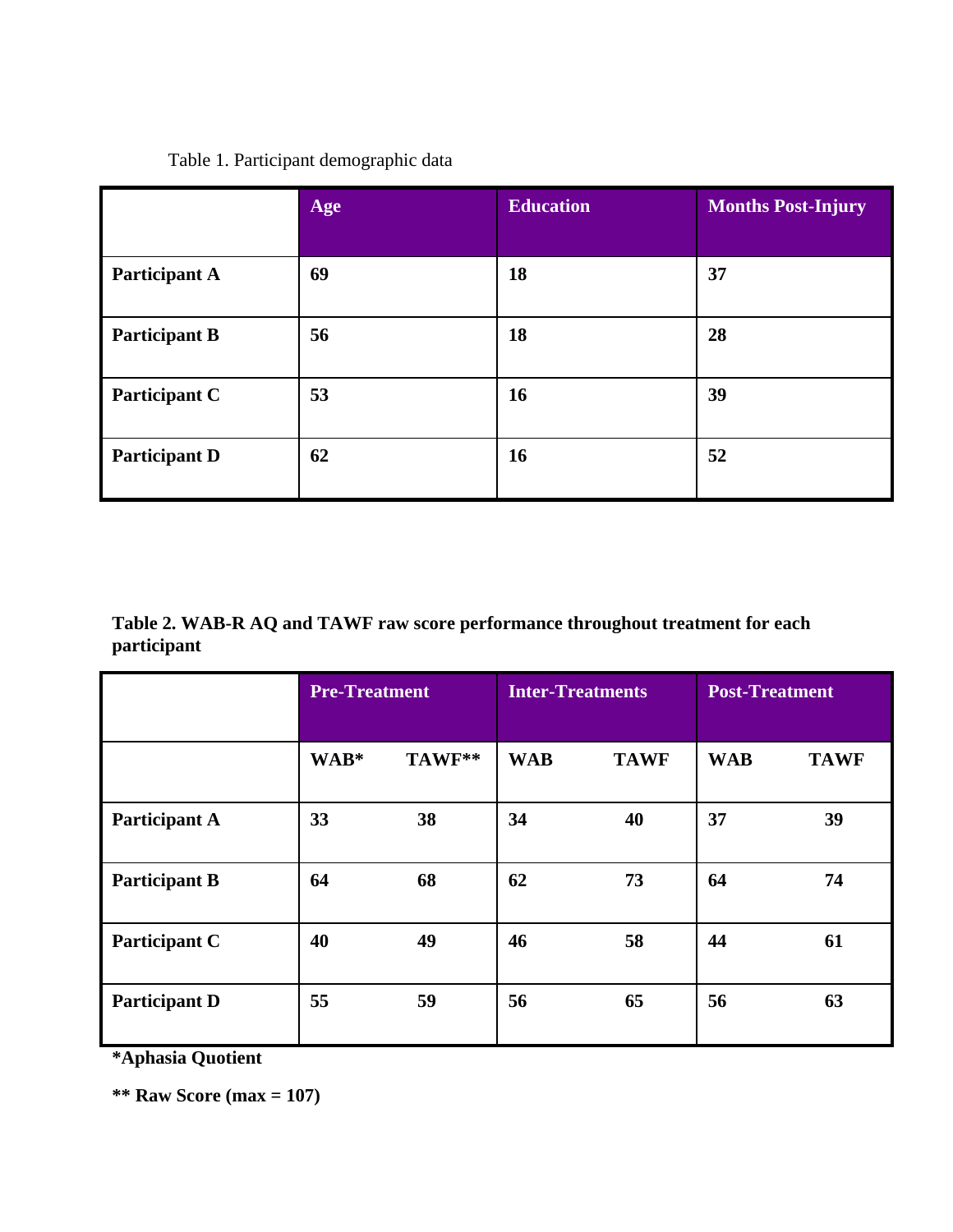## Table 1. Participant demographic data

|                      | Age | <b>Education</b> | <b>Months Post-Injury</b> |
|----------------------|-----|------------------|---------------------------|
| <b>Participant A</b> | 69  | 18               | 37                        |
| <b>Participant B</b> | 56  | 18               | 28                        |
| Participant C        | 53  | 16               | 39                        |
| <b>Participant D</b> | 62  | 16               | 52                        |

**Table 2. WAB-R AQ and TAWF raw score performance throughout treatment for each participant**

|                      | <b>Pre-Treatment</b> |        | <b>Inter-Treatments</b> |             | <b>Post-Treatment</b> |             |
|----------------------|----------------------|--------|-------------------------|-------------|-----------------------|-------------|
|                      | WAB*                 | TAWF** | <b>WAB</b>              | <b>TAWF</b> | <b>WAB</b>            | <b>TAWF</b> |
| <b>Participant A</b> | 33                   | 38     | 34                      | 40          | 37                    | 39          |
| <b>Participant B</b> | 64                   | 68     | 62                      | 73          | 64                    | 74          |
| Participant C        | 40                   | 49     | 46                      | 58          | 44                    | 61          |
| <b>Participant D</b> | 55                   | 59     | 56                      | 65          | 56                    | 63          |

**\*Aphasia Quotient**

**\*\* Raw Score (max = 107)**